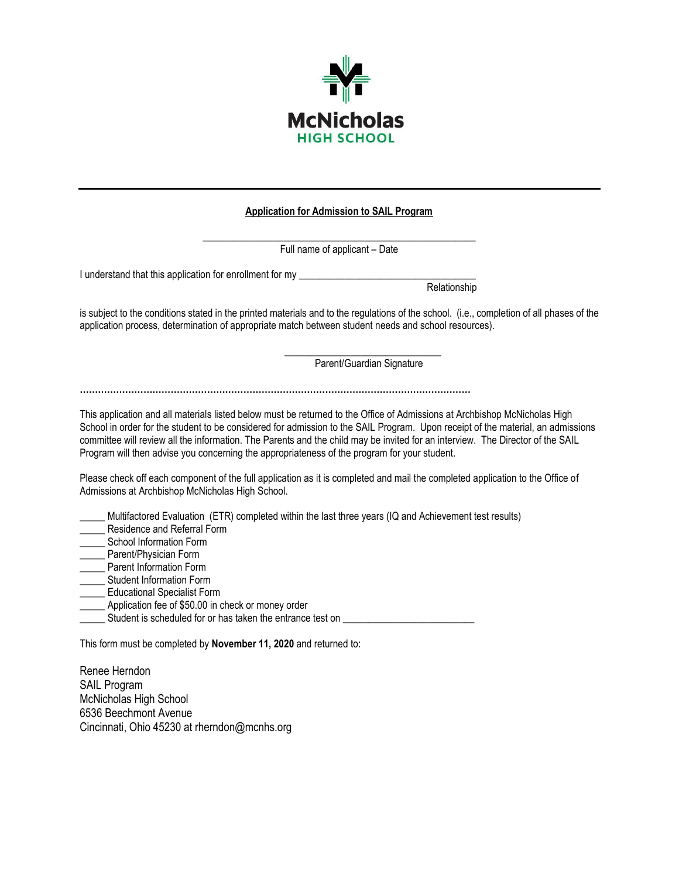

#### **Application for Admission to SAIL Program**

| Full name of applicant - Date                                                                                                                                                                                                                                                                                                                                                                                                                                                                   |
|-------------------------------------------------------------------------------------------------------------------------------------------------------------------------------------------------------------------------------------------------------------------------------------------------------------------------------------------------------------------------------------------------------------------------------------------------------------------------------------------------|
| I understand that this application for enrollment for my _______________________                                                                                                                                                                                                                                                                                                                                                                                                                |
| Relationship                                                                                                                                                                                                                                                                                                                                                                                                                                                                                    |
| is subject to the conditions stated in the printed materials and to the regulations of the school. (i.e., completion of all phases of the<br>application process, determination of appropriate match between student needs and school resources).                                                                                                                                                                                                                                               |
| Parent/Guardian Signature                                                                                                                                                                                                                                                                                                                                                                                                                                                                       |
| This application and all materials listed below must be returned to the Office of Admissions at Archbishop McNicholas High<br>School in order for the student to be considered for admission to the SAIL Program. Upon receipt of the material, an admissions<br>committee will review all the information. The Parents and the child may be invited for an interview. The Director of the SAIL<br>Program will then advise you concerning the appropriateness of the program for your student. |
| Please check off each component of the full application as it is completed and mail the completed application to the Office of<br>Admissions at Archbishop McNicholas High School.                                                                                                                                                                                                                                                                                                              |
| Multifactored Evaluation (ETR) completed within the last three years (IQ and Achievement test results)<br>Residence and Referral Form<br><b>School Information Form</b><br>Parent/Physician Form<br>Parent Information Form<br>Student Information Form<br><b>Educational Specialist Form</b><br>Application fee of \$50.00 in check or money order<br>Student is scheduled for or has taken the entrance test on                                                                               |
| This form must be completed by November 11, 2020 and returned to:                                                                                                                                                                                                                                                                                                                                                                                                                               |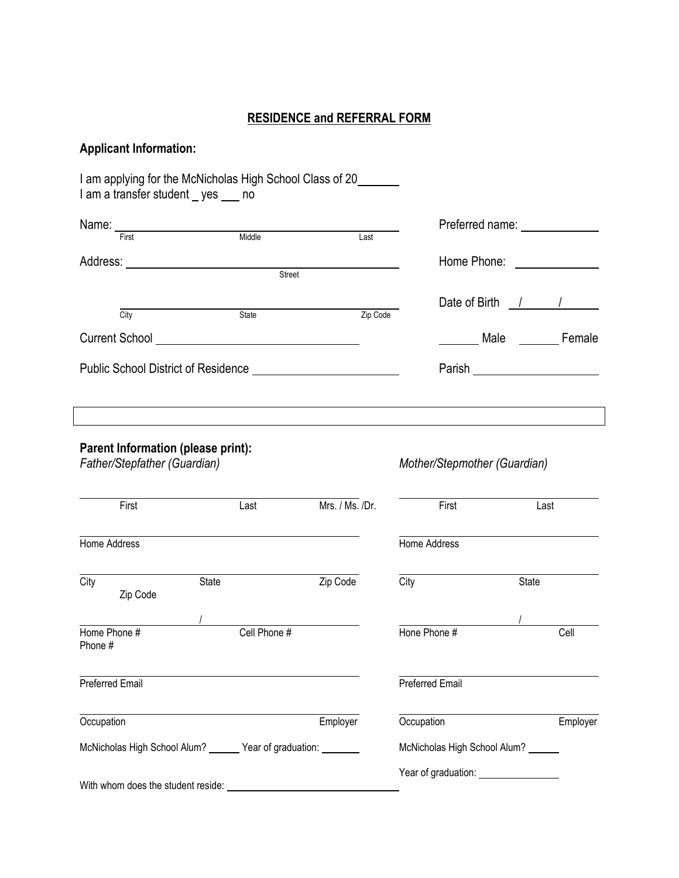### **RESIDENCE and REFERRAL FORM**

### **Applicant Information:**

I am applying for the McNicholas High School Class of 20 I am a transfer student \_ yes \_\_\_ no Name: First Middle Middle Middle Reserved Transferred name: **Middle** Address: **Address:** Address: **Home Phone: Home Phone: Home Phone: Home Phone: Home Phone: Home Phone: Home Phone: Home Phone: Home Phone: Home Phone: Home Phone: Home Phone: Home Phone: Home Phone** Street<br>Street Date of Birth / / **City State Zip Code** Current School **Exercise Exercise Current School** Male Female Public School District of Residence National According Control of Parish Parish National According Parish Parish **Parent Information (please print):** *Father/Stepfather (Guardian) Mother/Stepmother (Guardian)* First Last Last Mrs. / Ms. /Dr. First Last Last Home Address Home Address City State Zip Code City State Zip Code / / Home Phone # Cell Phone # Cell Phone # Hone Phone # Cell Phone # Preferred Email Preferred Email Occupation **Employer** Employer **Construction** Employer **Construction** Employer McNicholas High School Alum? \_\_\_\_\_\_ Year of graduation: \_\_\_\_\_\_\_\_ McNicholas High School Alum? \_\_\_\_\_ Year of graduation: Nearly 2001 With whom does the student reside: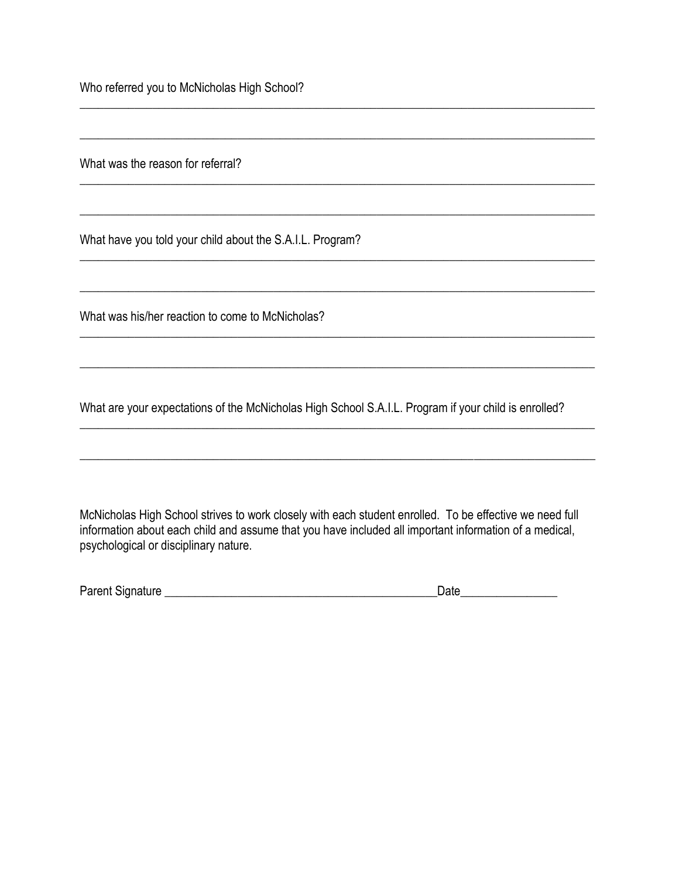Who referred you to McNicholas High School?

What was the reason for referral?

What have you told your child about the S.A.I.L. Program?

What was his/her reaction to come to McNicholas?

What are your expectations of the McNicholas High School S.A.I.L. Program if your child is enrolled?

 $\_$  , and the set of the set of the set of the set of the set of the set of the set of the set of the set of the set of the set of the set of the set of the set of the set of the set of the set of the set of the set of th

\_\_\_\_\_\_\_\_\_\_\_\_\_\_\_\_\_\_\_\_\_\_\_\_\_\_\_\_\_\_\_\_\_\_\_\_\_\_\_\_\_\_\_\_\_\_\_\_\_\_\_\_\_\_\_\_\_\_\_\_\_\_\_\_\_\_\_\_\_\_\_\_\_\_\_\_\_\_\_\_\_\_\_\_\_

\_\_\_\_\_\_\_\_\_\_\_\_\_\_\_\_\_\_\_\_\_\_\_\_\_\_\_\_\_\_\_\_\_\_\_\_\_\_\_\_\_\_\_\_\_\_\_\_\_\_\_\_\_\_\_\_\_\_\_\_\_\_\_\_\_\_\_\_\_\_\_\_\_\_\_\_\_\_\_\_\_\_\_\_\_

 $\_$  , and the set of the set of the set of the set of the set of the set of the set of the set of the set of the set of the set of the set of the set of the set of the set of the set of the set of the set of the set of th

 $\_$  , and the set of the set of the set of the set of the set of the set of the set of the set of the set of the set of the set of the set of the set of the set of the set of the set of the set of the set of the set of th

 $\_$  , and the set of the set of the set of the set of the set of the set of the set of the set of the set of the set of the set of the set of the set of the set of the set of the set of the set of the set of the set of th

 $\_$  , and the set of the set of the set of the set of the set of the set of the set of the set of the set of the set of the set of the set of the set of the set of the set of the set of the set of the set of the set of th

 $\_$  , and the set of the set of the set of the set of the set of the set of the set of the set of the set of the set of the set of the set of the set of the set of the set of the set of the set of the set of the set of th

 $\_$  , and the set of the set of the set of the set of the set of the set of the set of the set of the set of the set of the set of the set of the set of the set of the set of the set of the set of the set of the set of th

 $\_$  , and the set of the set of the set of the set of the set of the set of the set of the set of the set of the set of the set of the set of the set of the set of the set of the set of the set of the set of the set of th

McNicholas High School strives to work closely with each student enrolled. To be effective we need full information about each child and assume that you have included all important information of a medical, psychological or disciplinary nature.

| Parent Signature | Date |
|------------------|------|
|------------------|------|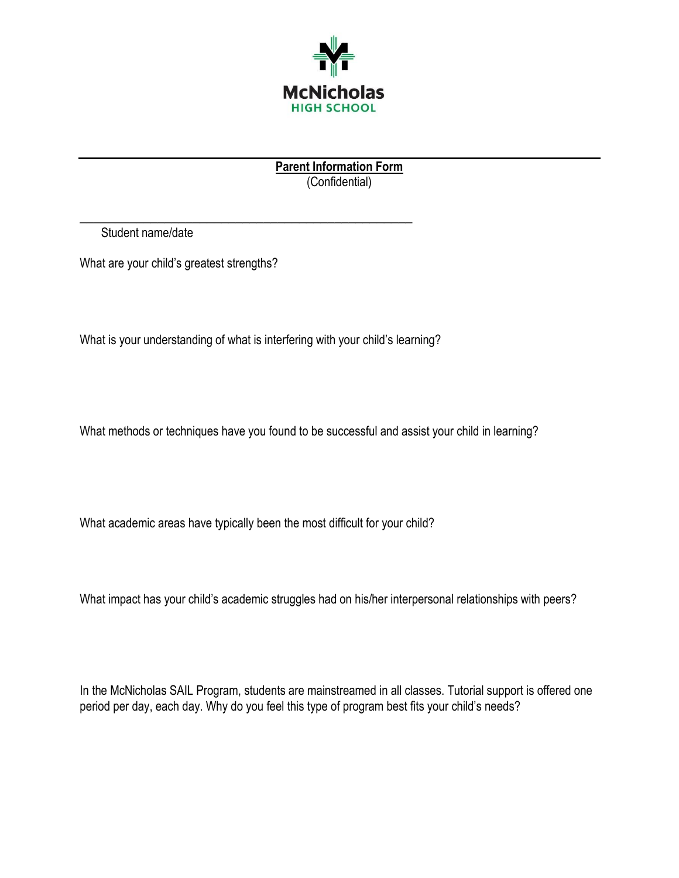

**Parent Information Form**  (Confidential)

Student name/date

What are your child's greatest strengths?

What is your understanding of what is interfering with your child's learning?

**\_\_\_\_\_\_\_\_\_\_\_\_\_\_\_\_\_\_\_\_\_\_\_\_\_\_\_\_\_\_\_\_\_\_\_\_\_\_\_\_\_\_\_\_\_\_\_**

What methods or techniques have you found to be successful and assist your child in learning?

What academic areas have typically been the most difficult for your child?

What impact has your child's academic struggles had on his/her interpersonal relationships with peers?

In the McNicholas SAIL Program, students are mainstreamed in all classes. Tutorial support is offered one period per day, each day. Why do you feel this type of program best fits your child's needs?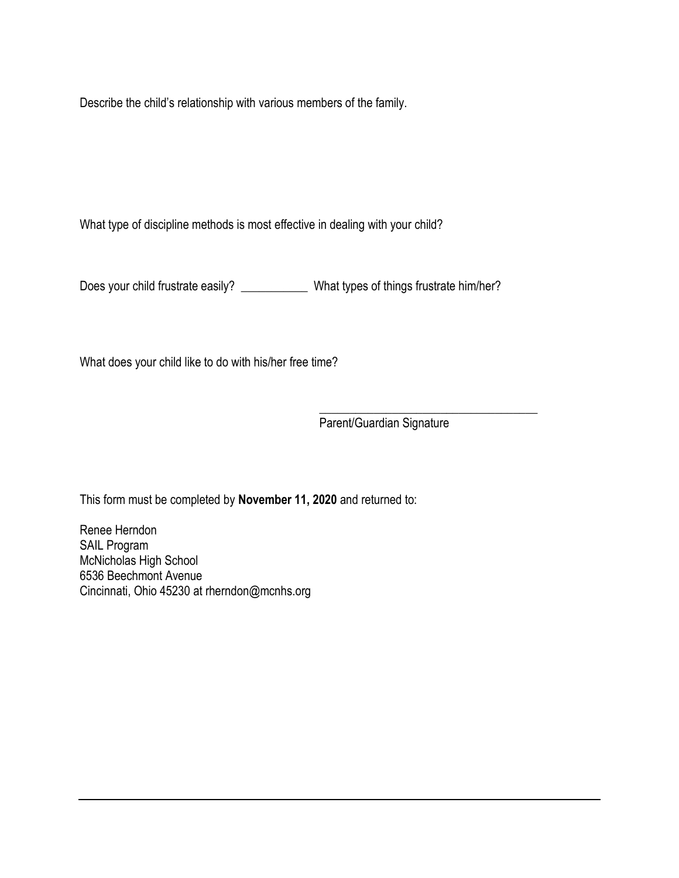Describe the child's relationship with various members of the family.

What type of discipline methods is most effective in dealing with your child?

Does your child frustrate easily? \_\_\_\_\_\_\_\_\_\_\_\_\_\_ What types of things frustrate him/her?

What does your child like to do with his/her free time?

\_\_\_\_\_\_\_\_\_\_\_\_\_\_\_\_\_\_\_\_\_\_\_\_\_\_\_\_\_\_\_\_\_\_\_\_ Parent/Guardian Signature

This form must be completed by **November 11, 2020** and returned to: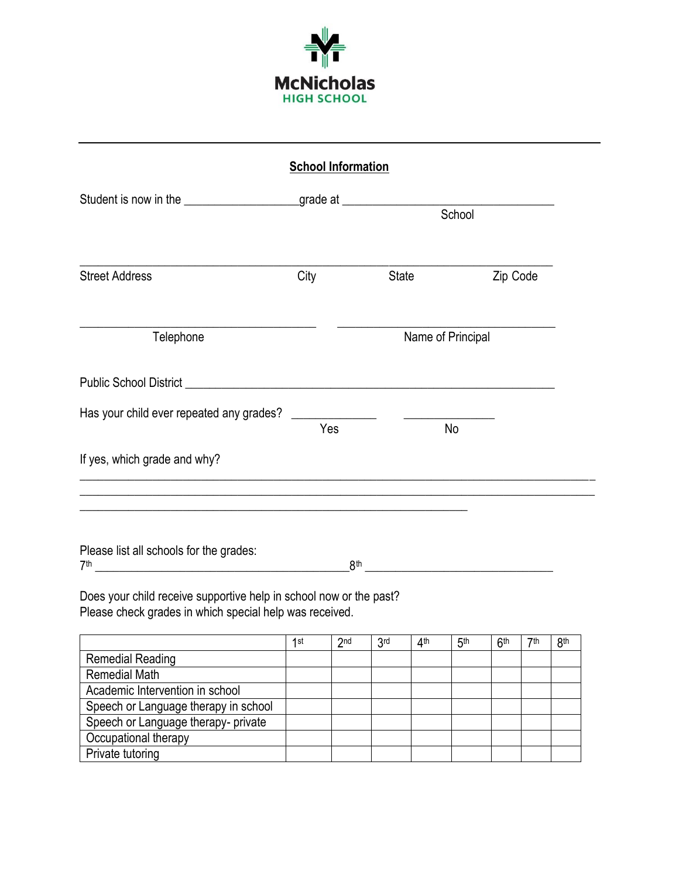

| <b>School Information</b>                                                        |      |                   |          |  |  |
|----------------------------------------------------------------------------------|------|-------------------|----------|--|--|
| Student is now in the ______________________grade at ___________________________ |      |                   | School   |  |  |
| <b>Street Address</b>                                                            | City | <b>State</b>      | Zip Code |  |  |
| Telephone                                                                        |      | Name of Principal |          |  |  |
|                                                                                  |      |                   |          |  |  |
| Has your child ever repeated any grades?                                         | Yes  | No                |          |  |  |
| If yes, which grade and why?                                                     |      |                   |          |  |  |
| <u> 1989 - Johann Stoff, amerikansk politiker (d. 1989)</u>                      |      |                   |          |  |  |
| Please list all schools for the grades:<br>7th                                   | 8th  |                   |          |  |  |

Does your child receive supportive help in school now or the past? Please check grades in which special help was received.

|                                      | 1st | 2 <sub>nd</sub> | 3rd | ⊿th | 5 <sup>th</sup> | <b>Gth</b> | 7th | 8th |
|--------------------------------------|-----|-----------------|-----|-----|-----------------|------------|-----|-----|
| <b>Remedial Reading</b>              |     |                 |     |     |                 |            |     |     |
| <b>Remedial Math</b>                 |     |                 |     |     |                 |            |     |     |
| Academic Intervention in school      |     |                 |     |     |                 |            |     |     |
| Speech or Language therapy in school |     |                 |     |     |                 |            |     |     |
| Speech or Language therapy- private  |     |                 |     |     |                 |            |     |     |
| Occupational therapy                 |     |                 |     |     |                 |            |     |     |
| Private tutoring                     |     |                 |     |     |                 |            |     |     |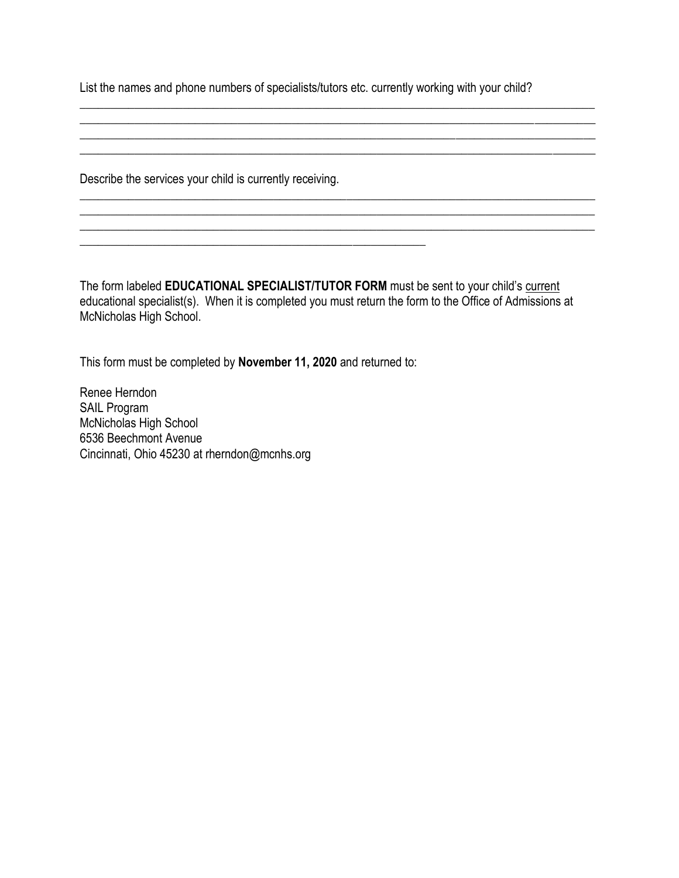List the names and phone numbers of specialists/tutors etc. currently working with your child?

 $\_$  , and the set of the set of the set of the set of the set of the set of the set of the set of the set of the set of the set of the set of the set of the set of the set of the set of the set of the set of the set of th \_\_\_\_\_\_\_\_\_\_\_\_\_\_\_\_\_\_\_\_\_\_\_\_\_\_\_\_\_\_\_\_\_\_\_\_\_\_\_\_\_\_\_\_\_\_\_\_\_\_\_\_\_\_\_\_\_\_\_\_\_\_\_\_\_\_\_\_\_\_\_\_\_\_\_\_\_\_\_\_\_\_\_\_\_

\_\_\_\_\_\_\_\_\_\_\_\_\_\_\_\_\_\_\_\_\_\_\_\_\_\_\_\_\_\_\_\_\_\_\_\_\_\_\_\_\_\_\_\_\_\_\_\_\_\_\_\_\_\_\_\_\_\_\_\_\_\_\_\_\_\_\_\_\_\_\_\_\_\_\_\_\_\_\_\_\_\_\_\_\_

 $\_$  , and the set of the set of the set of the set of the set of the set of the set of the set of the set of the set of the set of the set of the set of the set of the set of the set of the set of the set of the set of th

Describe the services your child is currently receiving.

The form labeled **EDUCATIONAL SPECIALIST/TUTOR FORM** must be sent to your child's current educational specialist(s). When it is completed you must return the form to the Office of Admissions at McNicholas High School.

This form must be completed by **November 11, 2020** and returned to:

\_\_\_\_\_\_\_\_\_\_\_\_\_\_\_\_\_\_\_\_\_\_\_\_\_\_\_\_\_\_\_\_\_\_\_\_\_\_\_\_\_\_\_\_\_\_\_\_\_\_\_\_\_\_\_\_\_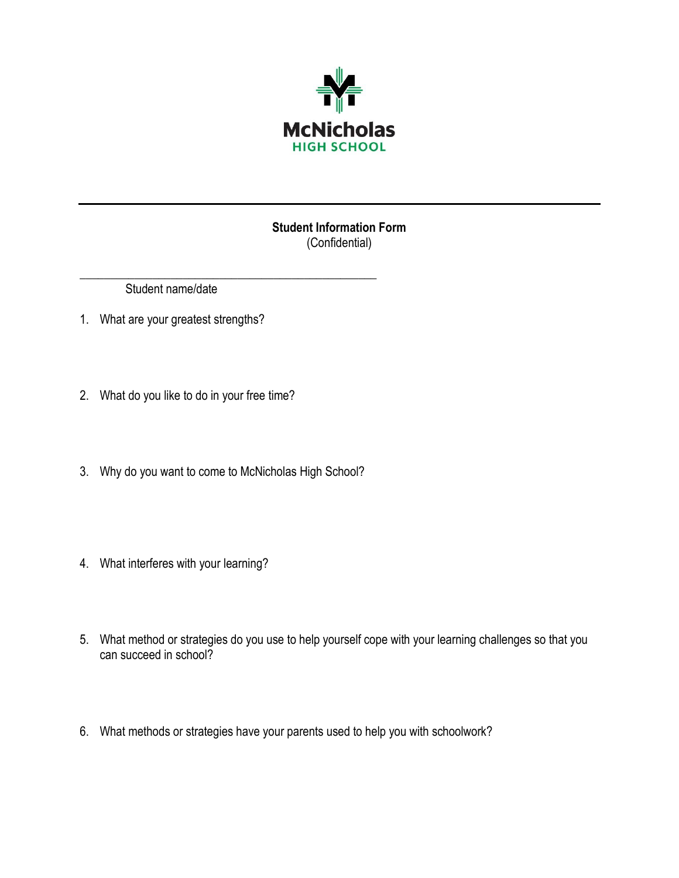

## **Student Information Form** (Confidential)

Student name/date

- 1. What are your greatest strengths?
- 2. What do you like to do in your free time?
- 3. Why do you want to come to McNicholas High School?

\_\_\_\_\_\_\_\_\_\_\_\_\_\_\_\_\_\_\_\_\_\_\_\_\_\_\_\_\_\_\_\_\_\_\_\_\_\_\_\_\_\_\_\_\_\_\_\_\_

- 4. What interferes with your learning?
- 5. What method or strategies do you use to help yourself cope with your learning challenges so that you can succeed in school?
- 6. What methods or strategies have your parents used to help you with schoolwork?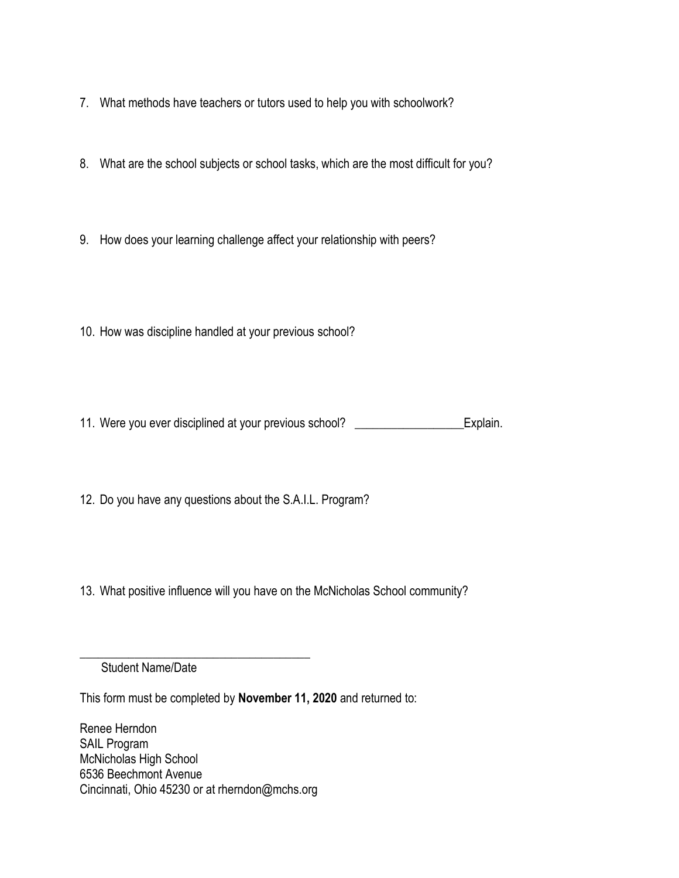- 7. What methods have teachers or tutors used to help you with schoolwork?
- 8. What are the school subjects or school tasks, which are the most difficult for you?
- 9. How does your learning challenge affect your relationship with peers?
- 10. How was discipline handled at your previous school?
- 11. Were you ever disciplined at your previous school? Explain.

12. Do you have any questions about the S.A.I.L. Program?

13. What positive influence will you have on the McNicholas School community?

Student Name/Date

This form must be completed by **November 11, 2020** and returned to:

Renee Herndon SAIL Program McNicholas High School 6536 Beechmont Avenue Cincinnati, Ohio 45230 or at rherndon@mchs.org

\_\_\_\_\_\_\_\_\_\_\_\_\_\_\_\_\_\_\_\_\_\_\_\_\_\_\_\_\_\_\_\_\_\_\_\_\_\_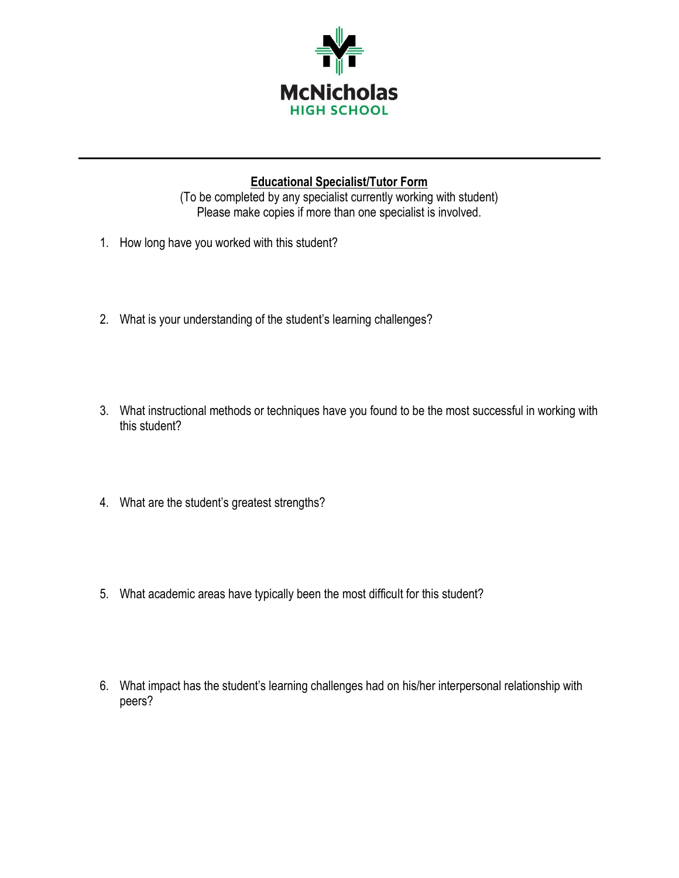

# **Educational Specialist/Tutor Form**

(To be completed by any specialist currently working with student) Please make copies if more than one specialist is involved.

- 1. How long have you worked with this student?
- 2. What is your understanding of the student's learning challenges?
- 3. What instructional methods or techniques have you found to be the most successful in working with this student?
- 4. What are the student's greatest strengths?
- 5. What academic areas have typically been the most difficult for this student?
- 6. What impact has the student's learning challenges had on his/her interpersonal relationship with peers?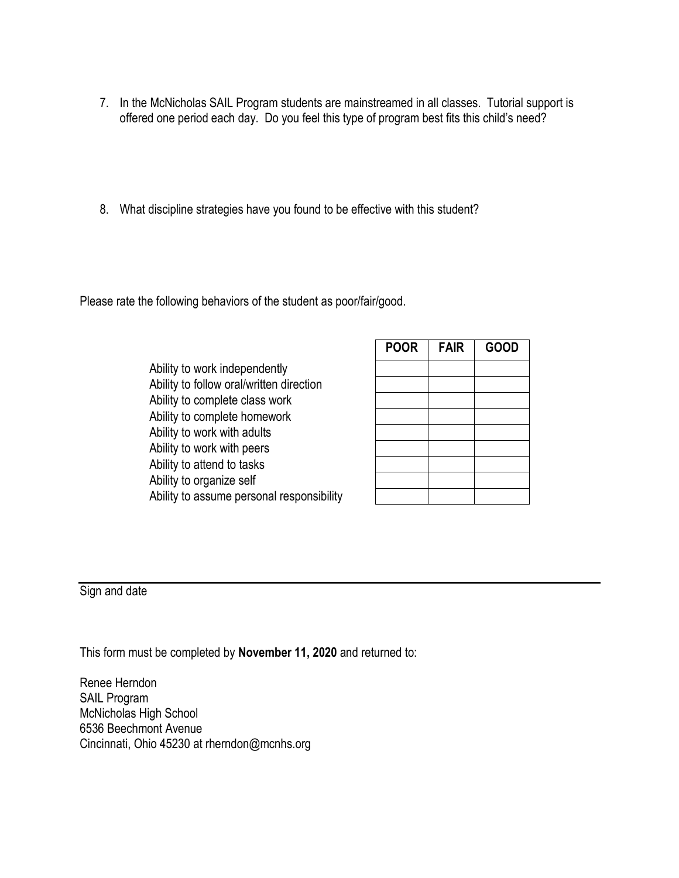- 7. In the McNicholas SAIL Program students are mainstreamed in all classes. Tutorial support is offered one period each day. Do you feel this type of program best fits this child's need?
- 8. What discipline strategies have you found to be effective with this student?

Please rate the following behaviors of the student as poor/fair/good.

Ability to work independently Ability to follow oral/written direction Ability to complete class work Ability to complete homework Ability to work with adults Ability to work with peers Ability to attend to tasks Ability to organize self Ability to assume personal responsibility

| <b>POOR</b> | <b>FAIR</b> | <b>GOOD</b> |
|-------------|-------------|-------------|
|             |             |             |
|             |             |             |
|             |             |             |
|             |             |             |
|             |             |             |
|             |             |             |
|             |             |             |
|             |             |             |
|             |             |             |

Sign and date

This form must be completed by **November 11, 2020** and returned to: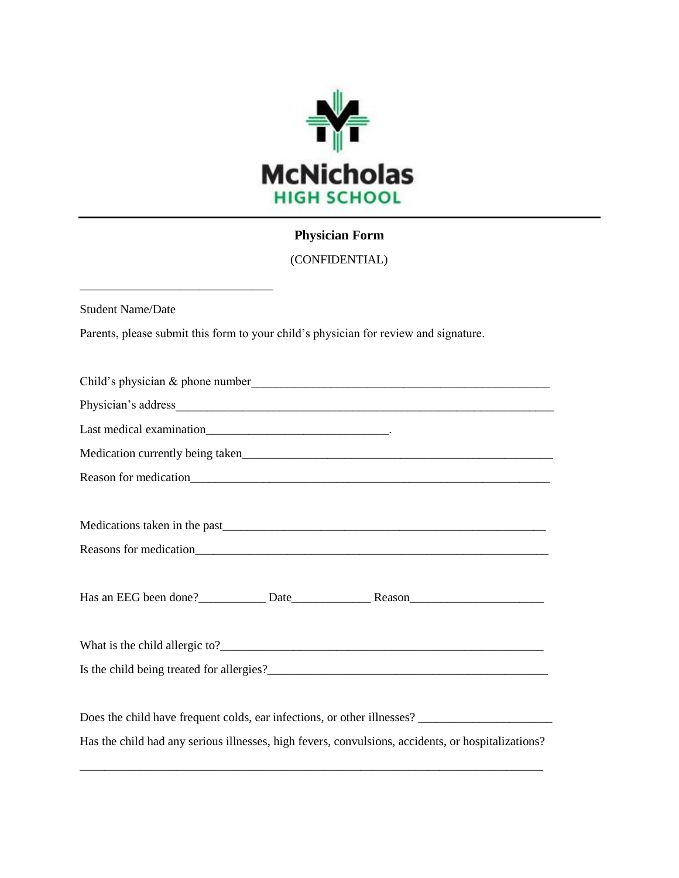

# **Physician Form**

(CONFIDENTIAL)

Student Name/Date

\_\_\_\_\_\_\_\_\_\_\_\_\_\_\_\_\_\_\_\_\_\_\_\_\_\_\_\_\_

Parents, please submit this form to your child's physician for review and signature.

| Has the child had any serious illnesses, high fevers, convulsions, accidents, or hospitalizations? |
|----------------------------------------------------------------------------------------------------|

\_\_\_\_\_\_\_\_\_\_\_\_\_\_\_\_\_\_\_\_\_\_\_\_\_\_\_\_\_\_\_\_\_\_\_\_\_\_\_\_\_\_\_\_\_\_\_\_\_\_\_\_\_\_\_\_\_\_\_\_\_\_\_\_\_\_\_\_\_\_\_\_\_\_\_\_